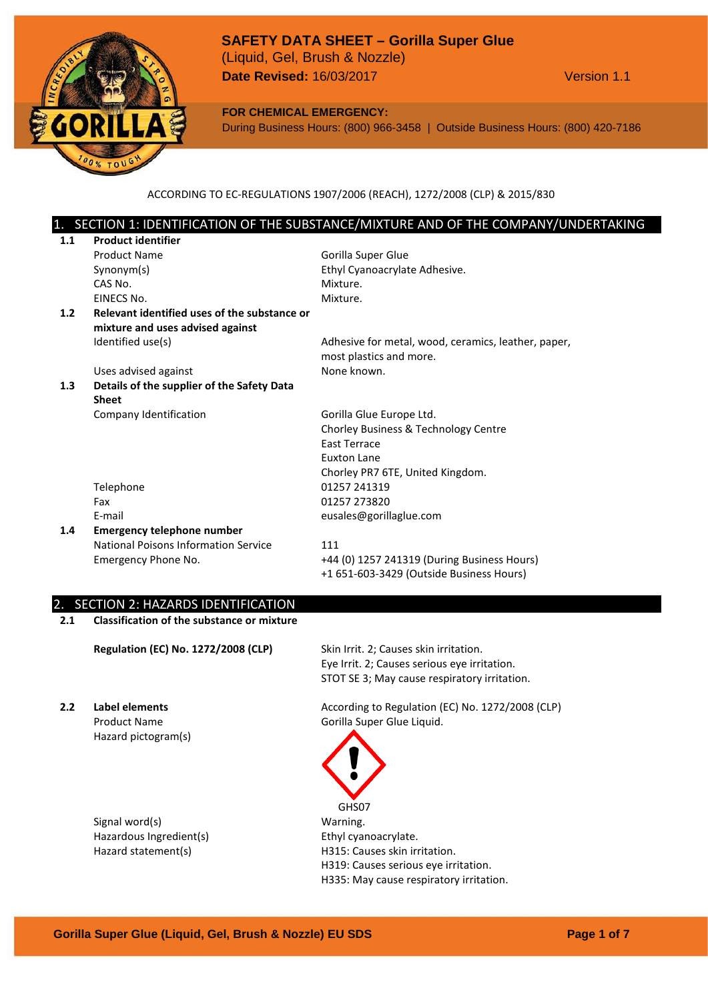

**FOR CHEMICAL EMERGENCY:**

During Business Hours: (800) 966-3458 | Outside Business Hours: (800) 420-7186

ACCORDING TO EC-REGULATIONS 1907/2006 (REACH), 1272/2008 (CLP) & 2015/830

# SECTION 1: IDENTIFICATION OF THE SUBSTANCE/MIXTURE AND OF THE COMPANY/UNDERTAKING

| 1.1 | <b>Product identifier</b>                    |                                                     |
|-----|----------------------------------------------|-----------------------------------------------------|
|     | <b>Product Name</b>                          | Gorilla Super Glue                                  |
|     | Synonym(s)                                   | Ethyl Cyanoacrylate Adhesive.                       |
|     | CAS No.                                      | Mixture.                                            |
|     | EINECS No.                                   | Mixture.                                            |
| 1.2 | Relevant identified uses of the substance or |                                                     |
|     | mixture and uses advised against             |                                                     |
|     | Identified use(s)                            | Adhesive for metal, wood, ceramics, leather, paper, |
|     |                                              | most plastics and more.                             |
|     | Uses advised against                         | None known.                                         |
| 1.3 | Details of the supplier of the Safety Data   |                                                     |
|     | <b>Sheet</b>                                 |                                                     |
|     | Company Identification                       | Gorilla Glue Europe Ltd.                            |
|     |                                              | Chorley Business & Technology Centre                |
|     |                                              | <b>East Terrace</b>                                 |
|     |                                              | Euxton Lane                                         |
|     |                                              |                                                     |
|     |                                              | Chorley PR7 6TE, United Kingdom.                    |
|     | Telephone                                    | 01257 241319                                        |
|     | Fax                                          | 01257 273820                                        |
|     | E-mail                                       | eusales@gorillaglue.com                             |
| 1.4 | <b>Emergency telephone number</b>            |                                                     |
|     | National Poisons Information Service         | 111                                                 |
|     | Emergency Phone No.                          | +44 (0) 1257 241319 (During Business Hours)         |

#### 2. SECTION 2: HAZARDS IDENTIFICATION

**2.1 Classification of the substance or mixture**

**Regulation (EC) No. 1272/2008 (CLP)** Skin Irrit. 2; Causes skin irritation.

Eye Irrit. 2; Causes serious eye irritation. STOT SE 3; May cause respiratory irritation.

Hazard pictogram(s)

Signal word(s) Warning. Hazardous Ingredient(s) Fig. 2014 Ethyl cyanoacrylate.

**2.2 Label elements According to Regulation (EC) No. 1272/2008 (CLP)** Product Name Gorilla Super Glue Liquid.



Hazard statement(s) H315: Causes skin irritation. H319: Causes serious eye irritation. H335: May cause respiratory irritation.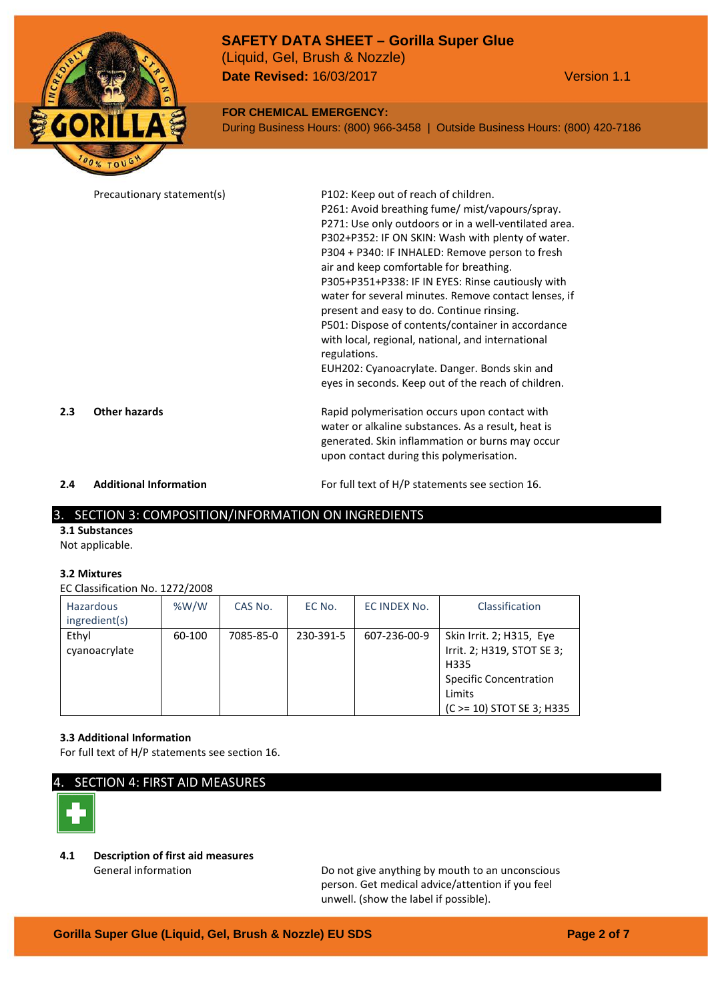

#### **FOR CHEMICAL EMERGENCY:**

During Business Hours: (800) 966-3458 | Outside Business Hours: (800) 420-7186

|     | Precautionary statement(s)    | P102: Keep out of reach of children.<br>P261: Avoid breathing fume/ mist/vapours/spray.<br>P271: Use only outdoors or in a well-ventilated area.<br>P302+P352: IF ON SKIN: Wash with plenty of water.<br>P304 + P340: IF INHALED: Remove person to fresh<br>air and keep comfortable for breathing.<br>P305+P351+P338: IF IN EYES: Rinse cautiously with<br>water for several minutes. Remove contact lenses, if<br>present and easy to do. Continue rinsing.<br>P501: Dispose of contents/container in accordance<br>with local, regional, national, and international<br>regulations.<br>EUH202: Cyanoacrylate. Danger. Bonds skin and |
|-----|-------------------------------|------------------------------------------------------------------------------------------------------------------------------------------------------------------------------------------------------------------------------------------------------------------------------------------------------------------------------------------------------------------------------------------------------------------------------------------------------------------------------------------------------------------------------------------------------------------------------------------------------------------------------------------|
| 2.3 | <b>Other hazards</b>          | eyes in seconds. Keep out of the reach of children.<br>Rapid polymerisation occurs upon contact with<br>water or alkaline substances. As a result, heat is                                                                                                                                                                                                                                                                                                                                                                                                                                                                               |
| 2.4 | <b>Additional Information</b> | generated. Skin inflammation or burns may occur<br>upon contact during this polymerisation.<br>For full text of H/P statements see section 16.                                                                                                                                                                                                                                                                                                                                                                                                                                                                                           |

#### 3. SECTION 3: COMPOSITION/INFORMATION ON INGREDIENTS

**3.1 Substances** Not applicable.

#### **3.2 Mixtures**

EC Classification No. 1272/2008

| <b>Hazardous</b><br>ingredient(s) | %W/W   | CAS No.   | EC No.    | EC INDEX No. | Classification                                                                                                                          |
|-----------------------------------|--------|-----------|-----------|--------------|-----------------------------------------------------------------------------------------------------------------------------------------|
| Ethyl<br>cyanoacrylate            | 60-100 | 7085-85-0 | 230-391-5 | 607-236-00-9 | Skin Irrit. 2; H315, Eye<br>Irrit. 2; H319, STOT SE 3;<br>H335<br><b>Specific Concentration</b><br>Limits<br>(C > = 10) STOT SE 3; H335 |

#### **3.3 Additional Information**

For full text of H/P statements see section 16.

## SECTION 4: FIRST AID MEASURES



# **4.1 Description of first aid measures**

General information **Constructed Exercise 2** Do not give anything by mouth to an unconscious person. Get medical advice/attention if you feel unwell. (show the label if possible).

# **Gorilla Super Glue (Liquid, Gel, Brush & Nozzle) EU SDS Page 2 of 7**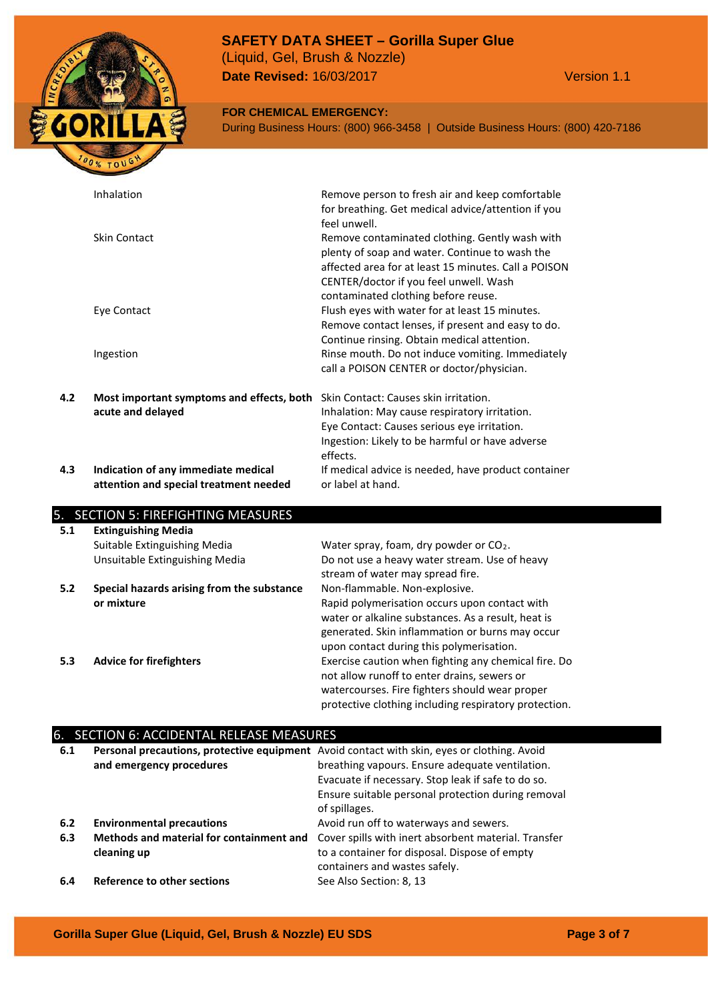

## **FOR CHEMICAL EMERGENCY:**

During Business Hours: (800) 966-3458 | Outside Business Hours: (800) 420-7186

| Inhalation<br>Remove person to fresh air and keep comfortable<br>for breathing. Get medical advice/attention if you<br>feel unwell.<br>Skin Contact<br>Remove contaminated clothing. Gently wash with<br>plenty of soap and water. Continue to wash the<br>affected area for at least 15 minutes. Call a POISON<br>CENTER/doctor if you feel unwell. Wash<br>contaminated clothing before reuse.<br>Flush eyes with water for at least 15 minutes.<br>Eye Contact<br>Remove contact lenses, if present and easy to do.<br>Continue rinsing. Obtain medical attention.<br>Rinse mouth. Do not induce vomiting. Immediately<br>Ingestion<br>call a POISON CENTER or doctor/physician.<br>4.2<br>Skin Contact: Causes skin irritation.<br>Most important symptoms and effects, both<br>acute and delayed<br>Inhalation: May cause respiratory irritation.<br>Eye Contact: Causes serious eye irritation.<br>Ingestion: Likely to be harmful or have adverse<br>effects.<br>4.3<br>Indication of any immediate medical<br>If medical advice is needed, have product container<br>or label at hand.<br>attention and special treatment needed |  |  |
|------------------------------------------------------------------------------------------------------------------------------------------------------------------------------------------------------------------------------------------------------------------------------------------------------------------------------------------------------------------------------------------------------------------------------------------------------------------------------------------------------------------------------------------------------------------------------------------------------------------------------------------------------------------------------------------------------------------------------------------------------------------------------------------------------------------------------------------------------------------------------------------------------------------------------------------------------------------------------------------------------------------------------------------------------------------------------------------------------------------------------------------|--|--|
|                                                                                                                                                                                                                                                                                                                                                                                                                                                                                                                                                                                                                                                                                                                                                                                                                                                                                                                                                                                                                                                                                                                                          |  |  |
|                                                                                                                                                                                                                                                                                                                                                                                                                                                                                                                                                                                                                                                                                                                                                                                                                                                                                                                                                                                                                                                                                                                                          |  |  |
|                                                                                                                                                                                                                                                                                                                                                                                                                                                                                                                                                                                                                                                                                                                                                                                                                                                                                                                                                                                                                                                                                                                                          |  |  |
|                                                                                                                                                                                                                                                                                                                                                                                                                                                                                                                                                                                                                                                                                                                                                                                                                                                                                                                                                                                                                                                                                                                                          |  |  |
|                                                                                                                                                                                                                                                                                                                                                                                                                                                                                                                                                                                                                                                                                                                                                                                                                                                                                                                                                                                                                                                                                                                                          |  |  |
|                                                                                                                                                                                                                                                                                                                                                                                                                                                                                                                                                                                                                                                                                                                                                                                                                                                                                                                                                                                                                                                                                                                                          |  |  |

# 5. SECTION 5: FIREFIGHTING MEASURES

| 5.1 | <b>Extinguishing Media</b>                 |                                                       |
|-----|--------------------------------------------|-------------------------------------------------------|
|     | Suitable Extinguishing Media               | Water spray, foam, dry powder or CO <sub>2</sub> .    |
|     | Unsuitable Extinguishing Media             | Do not use a heavy water stream. Use of heavy         |
|     |                                            | stream of water may spread fire.                      |
| 5.2 | Special hazards arising from the substance | Non-flammable. Non-explosive.                         |
|     | or mixture                                 | Rapid polymerisation occurs upon contact with         |
|     |                                            | water or alkaline substances. As a result, heat is    |
|     |                                            | generated. Skin inflammation or burns may occur       |
|     |                                            | upon contact during this polymerisation.              |
| 5.3 | <b>Advice for firefighters</b>             | Exercise caution when fighting any chemical fire. Do  |
|     |                                            | not allow runoff to enter drains, sewers or           |
|     |                                            | watercourses. Fire fighters should wear proper        |
|     |                                            | protective clothing including respiratory protection. |

# 6. SECTION 6: ACCIDENTAL RELEASE MEASURES

| 6.1 | and emergency procedures                 | Personal precautions, protective equipment Avoid contact with skin, eyes or clothing. Avoid<br>breathing vapours. Ensure adequate ventilation.<br>Evacuate if necessary. Stop leak if safe to do so.<br>Ensure suitable personal protection during removal<br>of spillages. |
|-----|------------------------------------------|-----------------------------------------------------------------------------------------------------------------------------------------------------------------------------------------------------------------------------------------------------------------------------|
| 6.2 | <b>Environmental precautions</b>         | Avoid run off to waterways and sewers.                                                                                                                                                                                                                                      |
| 6.3 | Methods and material for containment and | Cover spills with inert absorbent material. Transfer                                                                                                                                                                                                                        |
|     | cleaning up                              | to a container for disposal. Dispose of empty<br>containers and wastes safely.                                                                                                                                                                                              |
| 6.4 | Reference to other sections              | See Also Section: 8, 13                                                                                                                                                                                                                                                     |

**Gorilla Super Glue (Liquid, Gel, Brush & Nozzle) EU SDS Page 3 of 7**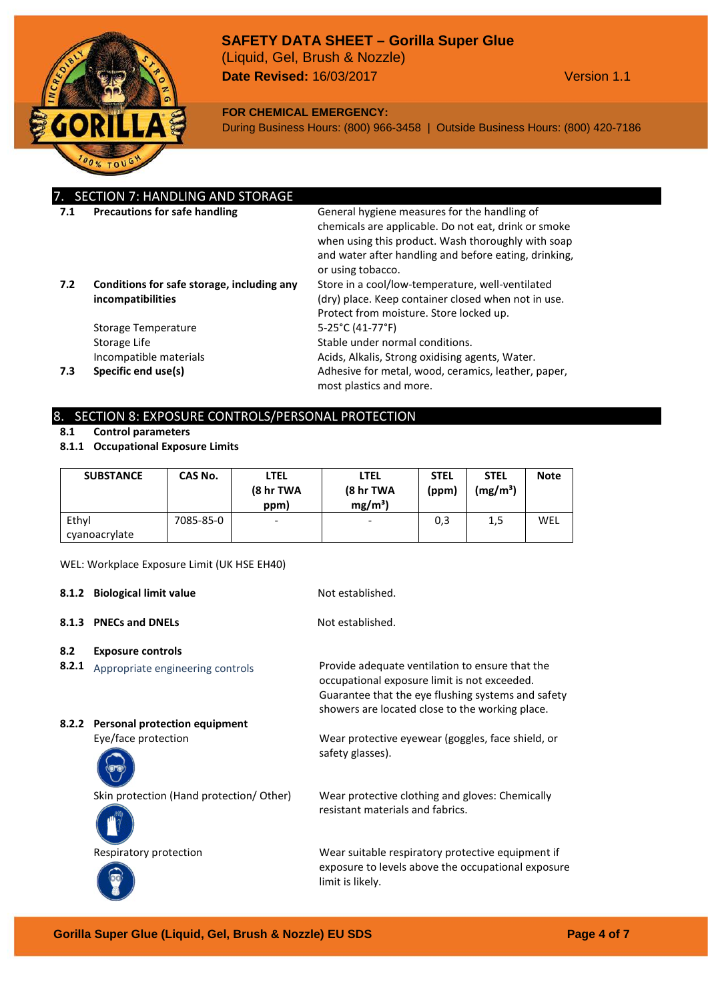

**FOR CHEMICAL EMERGENCY:**

During Business Hours: (800) 966-3458 | Outside Business Hours: (800) 420-7186

|     | 7. SECTION 7: HANDLING AND STORAGE                              |                                                                                                                                                                                                                                          |
|-----|-----------------------------------------------------------------|------------------------------------------------------------------------------------------------------------------------------------------------------------------------------------------------------------------------------------------|
| 7.1 | <b>Precautions for safe handling</b>                            | General hygiene measures for the handling of<br>chemicals are applicable. Do not eat, drink or smoke<br>when using this product. Wash thoroughly with soap<br>and water after handling and before eating, drinking,<br>or using tobacco. |
| 7.2 | Conditions for safe storage, including any<br>incompatibilities | Store in a cool/low-temperature, well-ventilated<br>(dry) place. Keep container closed when not in use.<br>Protect from moisture. Store locked up.                                                                                       |
|     | Storage Temperature                                             | $5-25^{\circ}$ C (41-77 $^{\circ}$ F)                                                                                                                                                                                                    |
|     | Storage Life                                                    | Stable under normal conditions.                                                                                                                                                                                                          |
|     | Incompatible materials                                          | Acids, Alkalis, Strong oxidising agents, Water.                                                                                                                                                                                          |
| 7.3 | Specific end use(s)                                             | Adhesive for metal, wood, ceramics, leather, paper,<br>most plastics and more.                                                                                                                                                           |

#### 8. SECTION 8: EXPOSURE CONTROLS/PERSONAL PROTECTION

- **8.1 Control parameters**
- **8.1.1 Occupational Exposure Limits**

| <b>SUBSTANCE</b> | CAS No.   | <b>LTEL</b><br>(8 hr TWA<br>ppm) | LTEL<br>(8 hr TWA<br>$mg/m^3$ ) | <b>STEL</b><br>(ppm) | <b>STEL</b><br>$(mg/m^3)$ | <b>Note</b> |
|------------------|-----------|----------------------------------|---------------------------------|----------------------|---------------------------|-------------|
| Ethyl            | 7085-85-0 | $\overline{\phantom{a}}$         | -                               | 0,3                  | 1,5                       | WEL         |
| cyanoacrylate    |           |                                  |                                 |                      |                           |             |

WEL: Workplace Exposure Limit (UK HSE EH40)

**8.1.2 Biological limit value** Not established.

**8.1.3 PNECs and DNELs** Not established.

safety glasses).

resistant materials and fabrics.

- **8.2 Exposure controls**
- **8.2.1** Appropriate engineering controls Provide adequate ventilation to ensure that the
- **8.2.2 Personal protection equipment**

Eye/face protection Wear protective eyewear (goggles, face shield, or



Skin protection (Hand protection/ Other) Wear protective clothing and gloves: Chemically





Respiratory protection Wear suitable respiratory protective equipment if exposure to levels above the occupational exposure limit is likely.

occupational exposure limit is not exceeded. Guarantee that the eye flushing systems and safety showers are located close to the working place.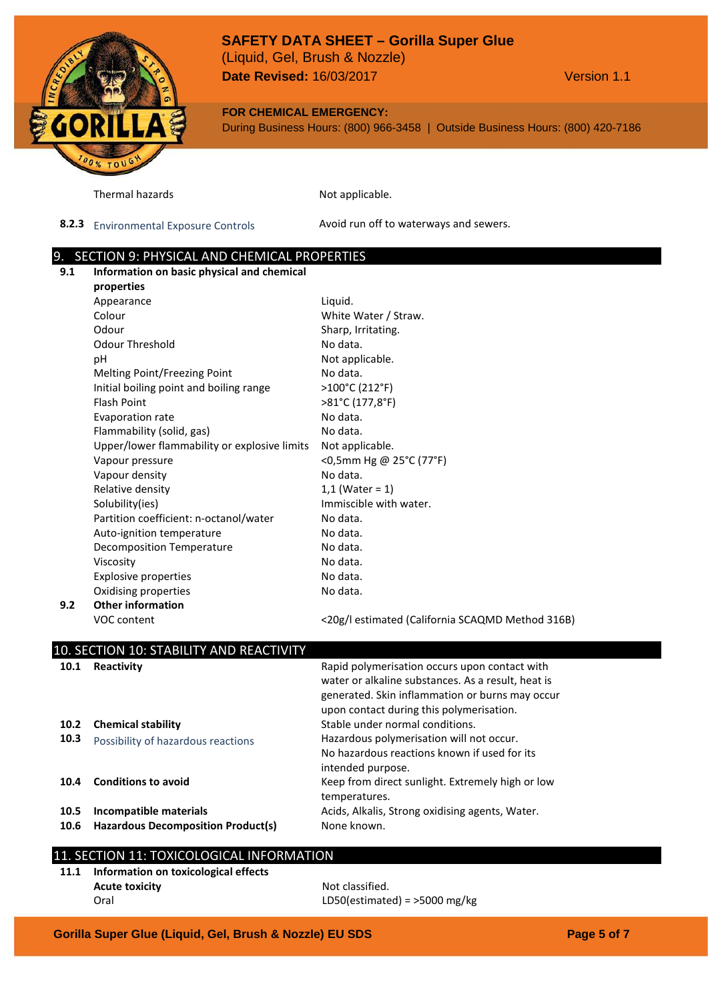# **SAFETY DATA SHEET – Gorilla Super Glue**

**Date Revised:** 16/03/2017 **Version 1.1** (Liquid, Gel, Brush & Nozzle)

#### **FOR CHEMICAL EMERGENCY:**

During Business Hours: (800) 966-3458 | Outside Business Hours: (800) 420-7186

Thermal hazards Not applicable.

8.2.3 Environmental Exposure Controls **Avoid run off to waterways and sewers.** 

#### 9. SECTION 9: PHYSICAL AND CHEMICAL PROPERTIES

**9.1 Information on basic physical and chemical properties** Appearance Liquid. Colour **Colour Colour Colour Colour Colour Colour Colour Colour Colour Colour Colour Colour Colour Colour Colour Colour Colour Colour Colour Colour Colour Colour Colour Colour** Odour Sharp, Irritating. Odour Threshold No data. pH Not applicable. Melting Point/Freezing Point No data. Initial boiling point and boiling range >100°C (212°F) Flash Point >81°C (177,8°F) Evaporation rate No data. Flammability (solid, gas) No data. Upper/lower flammability or explosive limits Not applicable. Vapour pressure  $\leq 0.5$ mm Hg @ 25°C (77°F) Vapour density No data. Relative density  $1,1$  (Water = 1) Solubility(ies) Solubility(ies) and the solubility(ies) and the solubility(ies) and the solubility(ies) solub Partition coefficient: n-octanol/water Mo data. Auto-ignition temperature measurement and No data. Decomposition Temperature Modata. Viscosity No data. Explosive properties No data. Oxidising properties No data. **9.2 Other information** VOC content <20g/l estimated (California SCAQMD Method 316B) 10. SECTION 10: STABILITY AND REACTIVITY **10.1 Reactivity Rapid polymerisation occurs upon contact with** water or alkaline substances. As a result, heat is generated. Skin inflammation or burns may occur upon contact during this polymerisation. **10.2 Chemical stability 10.2 Chemical stability Stable under normal conditions. 10.3** Possibility of hazardous reactions Hazardous polymerisation will not occur. No hazardous reactions known if used for its intended purpose. **10.4 Conditions to avoid** Keep from direct sunlight. Extremely high or low temperatures. **10.5 Incompatible materials** Acids, Alkalis, Strong oxidising agents, Water. 10.6 **Hazardous Decomposition Product(s)** None known.

# 11. SECTION 11: TOXICOLOGICAL INFORMATION

**11.1 Information on toxicological effects Acute toxicity** Not classified. Oral LD50(estimated) = >5000 mg/kg

**Gorilla Super Glue (Liquid, Gel, Brush & Nozzle) EU SDS Page 5 of 7**

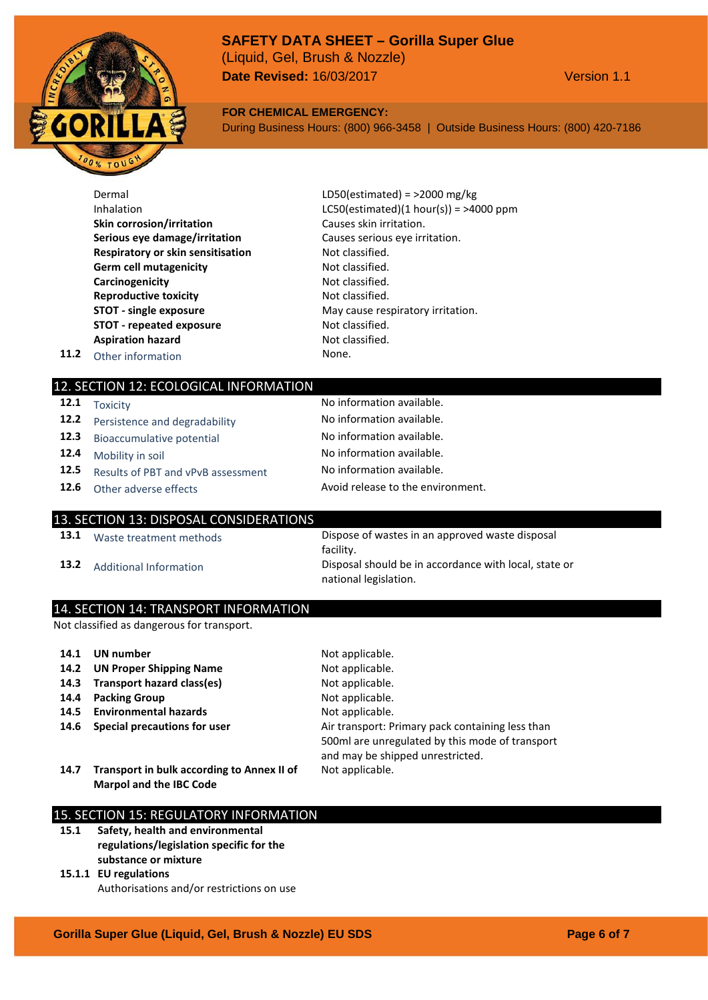# **SAFETY DATA SHEET – Gorilla Super Glue** (Liquid, Gel, Brush & Nozzle)

**Date Revised:** 16/03/2017 Version 1.1

#### **FOR CHEMICAL EMERGENCY:**

During Business Hours: (800) 966-3458 | Outside Business Hours: (800) 420-7186

|      | Dermal                            | LD50(estimated) = $>$ 2000 mg/kg          |
|------|-----------------------------------|-------------------------------------------|
|      | Inhalation                        | LC50(estimated) $(1 hour(s)) =$ >4000 ppm |
|      | <b>Skin corrosion/irritation</b>  | Causes skin irritation.                   |
|      | Serious eye damage/irritation     | Causes serious eye irritation.            |
|      | Respiratory or skin sensitisation | Not classified.                           |
|      | <b>Germ cell mutagenicity</b>     | Not classified.                           |
|      | Carcinogenicity                   | Not classified.                           |
|      | <b>Reproductive toxicity</b>      | Not classified.                           |
|      | <b>STOT</b> - single exposure     | May cause respiratory irritation.         |
|      | <b>STOT - repeated exposure</b>   | Not classified.                           |
|      | <b>Aspiration hazard</b>          | Not classified.                           |
| 11.2 | Other information                 | None.                                     |
|      |                                   |                                           |

#### 12. SECTION 12: ECOLOGICAL INFORMATION

|      | 12.1 Toxicity                             | No information available.         |
|------|-------------------------------------------|-----------------------------------|
|      | <b>12.2</b> Persistence and degradability | No information available.         |
| 12.3 | Bioaccumulative potential                 | No information available.         |
| 12.4 | Mobility in soil                          | No information available.         |
| 12.5 | Results of PBT and vPvB assessment        | No information available.         |
|      | <b>12.6</b> Other adverse effects         | Avoid release to the environment. |

# 13. SECTION 13: DISPOSAL CONSIDERATIONS

**13.1** Waste treatment methods Dispose of wastes in an approved waste disposal facility. **13.2** Additional Information Disposal should be in accordance with local, state or national legislation.

#### 14. SECTION 14: TRANSPORT INFORMATION

Not classified as dangerous for transport.

| 14.1 | UN number                                                                    | Not applicable.                                                                                                                         |
|------|------------------------------------------------------------------------------|-----------------------------------------------------------------------------------------------------------------------------------------|
| 14.2 | <b>UN Proper Shipping Name</b>                                               | Not applicable.                                                                                                                         |
| 14.3 | Transport hazard class(es)                                                   | Not applicable.                                                                                                                         |
| 14.4 | <b>Packing Group</b>                                                         | Not applicable.                                                                                                                         |
| 14.5 | <b>Environmental hazards</b>                                                 | Not applicable.                                                                                                                         |
| 14.6 | Special precautions for user                                                 | Air transport: Primary pack containing less than<br>500ml are unregulated by this mode of transport<br>and may be shipped unrestricted. |
| 14.7 | Transport in bulk according to Annex II of<br><b>Marpol and the IBC Code</b> | Not applicable.                                                                                                                         |

## 15. SECTION 15: REGULATORY INFORMATION

**15.1 Safety, health and environmental regulations/legislation specific for the substance or mixture**

#### **15.1.1 EU regulations** Authorisations and/or restrictions on use

**Gorilla Super Glue (Liquid, Gel, Brush & Nozzle) EU SDS Page 6 of 7**